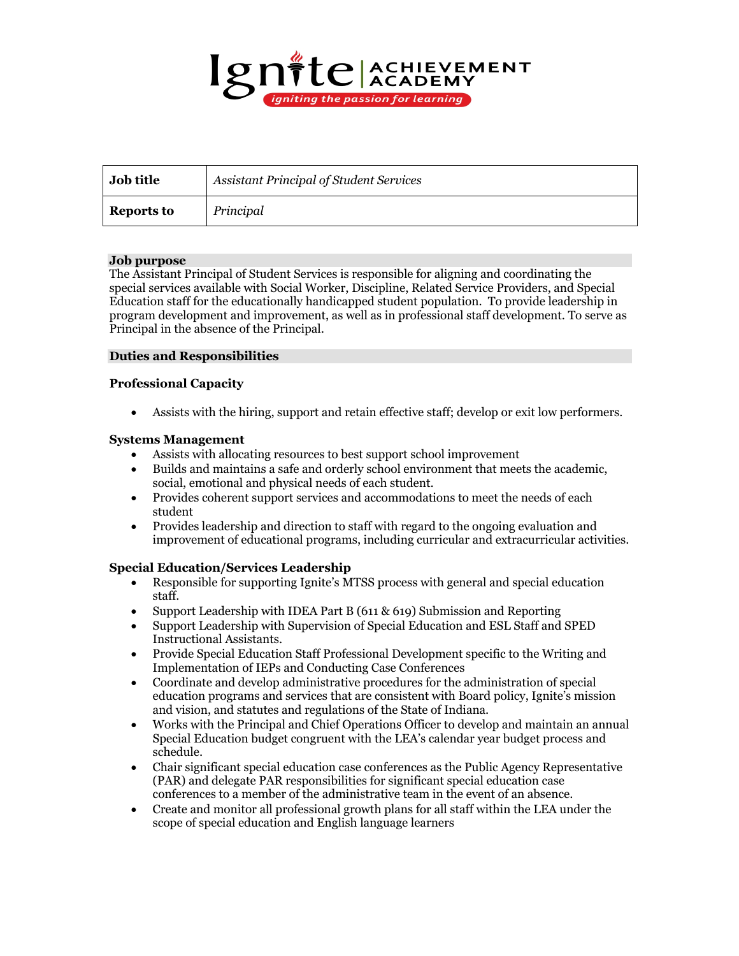

| Job title         | <b>Assistant Principal of Student Services</b> |
|-------------------|------------------------------------------------|
| <b>Reports to</b> | Principal                                      |

## **Job purpose**

The Assistant Principal of Student Services is responsible for aligning and coordinating the special services available with Social Worker, Discipline, Related Service Providers, and Special Education staff for the educationally handicapped student population. To provide leadership in program development and improvement, as well as in professional staff development. To serve as Principal in the absence of the Principal.

## **Duties and Responsibilities**

## **Professional Capacity**

• Assists with the hiring, support and retain effective staff; develop or exit low performers.

## **Systems Management**

- Assists with allocating resources to best support school improvement
- Builds and maintains a safe and orderly school environment that meets the academic, social, emotional and physical needs of each student.
- Provides coherent support services and accommodations to meet the needs of each student
- Provides leadership and direction to staff with regard to the ongoing evaluation and improvement of educational programs, including curricular and extracurricular activities.

## **Special Education/Services Leadership**

- Responsible for supporting Ignite's MTSS process with general and special education staff.
- Support Leadership with IDEA Part B (611 & 619) Submission and Reporting
- Support Leadership with Supervision of Special Education and ESL Staff and SPED Instructional Assistants.
- Provide Special Education Staff Professional Development specific to the Writing and Implementation of IEPs and Conducting Case Conferences
- Coordinate and develop administrative procedures for the administration of special education programs and services that are consistent with Board policy, Ignite's mission and vision, and statutes and regulations of the State of Indiana.
- Works with the Principal and Chief Operations Officer to develop and maintain an annual Special Education budget congruent with the LEA's calendar year budget process and schedule.
- Chair significant special education case conferences as the Public Agency Representative (PAR) and delegate PAR responsibilities for significant special education case conferences to a member of the administrative team in the event of an absence.
- Create and monitor all professional growth plans for all staff within the LEA under the scope of special education and English language learners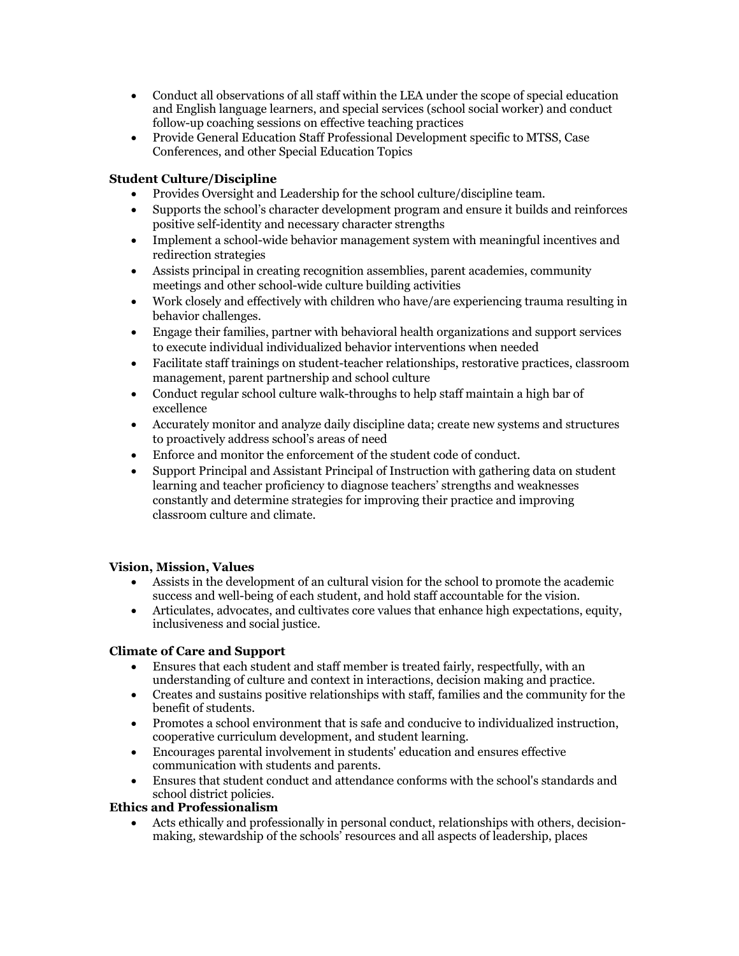- Conduct all observations of all staff within the LEA under the scope of special education and English language learners, and special services (school social worker) and conduct follow-up coaching sessions on effective teaching practices
- Provide General Education Staff Professional Development specific to MTSS, Case Conferences, and other Special Education Topics

# **Student Culture/Discipline**

- Provides Oversight and Leadership for the school culture/discipline team.
- Supports the school's character development program and ensure it builds and reinforces positive self-identity and necessary character strengths
- Implement a school-wide behavior management system with meaningful incentives and redirection strategies
- Assists principal in creating recognition assemblies, parent academies, community meetings and other school-wide culture building activities
- Work closely and effectively with children who have/are experiencing trauma resulting in behavior challenges.
- Engage their families, partner with behavioral health organizations and support services to execute individual individualized behavior interventions when needed
- Facilitate staff trainings on student-teacher relationships, restorative practices, classroom management, parent partnership and school culture
- Conduct regular school culture walk-throughs to help staff maintain a high bar of excellence
- Accurately monitor and analyze daily discipline data; create new systems and structures to proactively address school's areas of need
- Enforce and monitor the enforcement of the student code of conduct.
- Support Principal and Assistant Principal of Instruction with gathering data on student learning and teacher proficiency to diagnose teachers' strengths and weaknesses constantly and determine strategies for improving their practice and improving classroom culture and climate.

## **Vision, Mission, Values**

- Assists in the development of an cultural vision for the school to promote the academic success and well-being of each student, and hold staff accountable for the vision.
- Articulates, advocates, and cultivates core values that enhance high expectations, equity, inclusiveness and social justice.

## **Climate of Care and Support**

- Ensures that each student and staff member is treated fairly, respectfully, with an understanding of culture and context in interactions, decision making and practice.
- Creates and sustains positive relationships with staff, families and the community for the benefit of students.
- Promotes a school environment that is safe and conducive to individualized instruction, cooperative curriculum development, and student learning.
- Encourages parental involvement in students' education and ensures effective communication with students and parents.
- Ensures that student conduct and attendance conforms with the school's standards and school district policies.

## **Ethics and Professionalism**

• Acts ethically and professionally in personal conduct, relationships with others, decisionmaking, stewardship of the schools' resources and all aspects of leadership, places